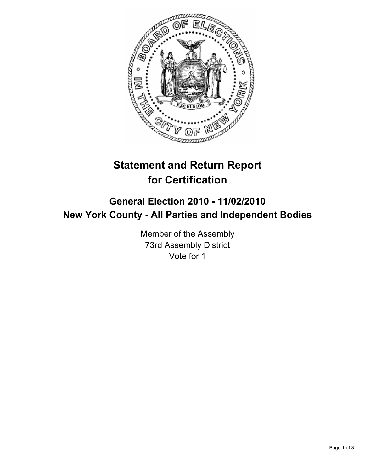

## **Statement and Return Report for Certification**

## **General Election 2010 - 11/02/2010 New York County - All Parties and Independent Bodies**

Member of the Assembly 73rd Assembly District Vote for 1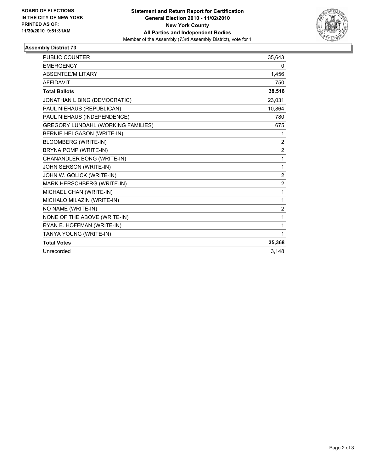

## **Assembly District 73**

| <b>PUBLIC COUNTER</b>                     | 35,643         |
|-------------------------------------------|----------------|
| <b>EMERGENCY</b>                          | 0              |
| ABSENTEE/MILITARY                         | 1,456          |
| <b>AFFIDAVIT</b>                          | 750            |
| <b>Total Ballots</b>                      | 38,516         |
| JONATHAN L BING (DEMOCRATIC)              | 23,031         |
| PAUL NIEHAUS (REPUBLICAN)                 | 10,864         |
| PAUL NIEHAUS (INDEPENDENCE)               | 780            |
| <b>GREGORY LUNDAHL (WORKING FAMILIES)</b> | 675            |
| BERNIE HELGASON (WRITE-IN)                | 1              |
| <b>BLOOMBERG (WRITE-IN)</b>               | $\overline{2}$ |
| BRYNA POMP (WRITE-IN)                     | $\overline{2}$ |
| CHANANDLER BONG (WRITE-IN)                | 1              |
| JOHN SERSON (WRITE-IN)                    | 1              |
| JOHN W. GOLICK (WRITE-IN)                 | $\overline{c}$ |
| MARK HERSCHBERG (WRITE-IN)                | 2              |
| MICHAEL CHAN (WRITE-IN)                   | 1              |
| MICHALO MILAZIN (WRITE-IN)                | 1              |
| NO NAME (WRITE-IN)                        | $\overline{2}$ |
| NONE OF THE ABOVE (WRITE-IN)              | 1              |
| RYAN E. HOFFMAN (WRITE-IN)                | 1              |
| TANYA YOUNG (WRITE-IN)                    | 1              |
| <b>Total Votes</b>                        | 35,368         |
| Unrecorded                                | 3,148          |